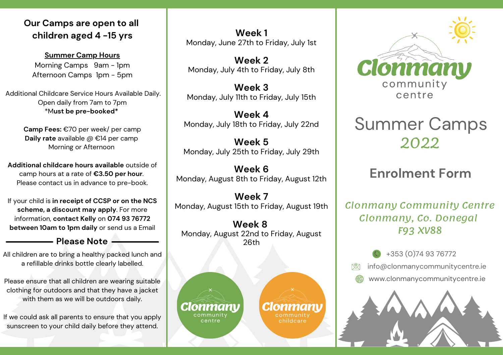### **Our Camps are open to all children aged 4 -15 yrs**

**Summer Camp Hours** Morning Camps 9am - 1pm Afternoon Camps 1pm - 5pm

Additional Childcare Service Hours Available Daily. Open daily from 7am to 7pm \*M**ust be pre-booked\***

> **Camp Fees:** €70 per week/ per camp **Daily rate** available @ €14 per camp Morning or Afternoon

**Additional childcare hours available** outside of camp hours at a rate of **€3.50 per hour**. Please contact us in advance to pre-book.

If your child is **in receipt of CCSP or on the NCS scheme, a discount may apply**. For more information, **contact Kelly** on **074 93 76772 between 10am to 1pm daily** or send us a Email

All children are to bring a healthy packed lunch and a refillable drinks bottle clearly labelled.

Please ensure that all children are wearing suitable clothing for outdoors and that they have a jacket with them as we will be outdoors daily.

If we could ask all parents to ensure that you apply sunscreen to your child daily before they attend.

**Week 1** Monday, June 27th to Friday, July 1st

**Week 2** Monday, July 4th to Friday, July 8th

**Week 3** Monday, July 11th to Friday, July 15th

**Week 4** Monday, July 18th to Friday, July 22nd

**Week 5** Monday, July 25th to Friday, July 29th

**Week 6** Monday, August 8th to Friday, August 12th

**Week 7** Monday, August 15th to Friday, August 19th

**Week 8** Monday, August 22nd to Friday, August **Please Note** 26th





# Summer Camps 2022

# **Enrolment Form**

Clonmany Community Centre Clonmany, Co. Donegal F93 XV88

> +353 (0)74 93 76772 info@clonmanycommunitycentre.ie

www.clonmanycommunitycentre.ie